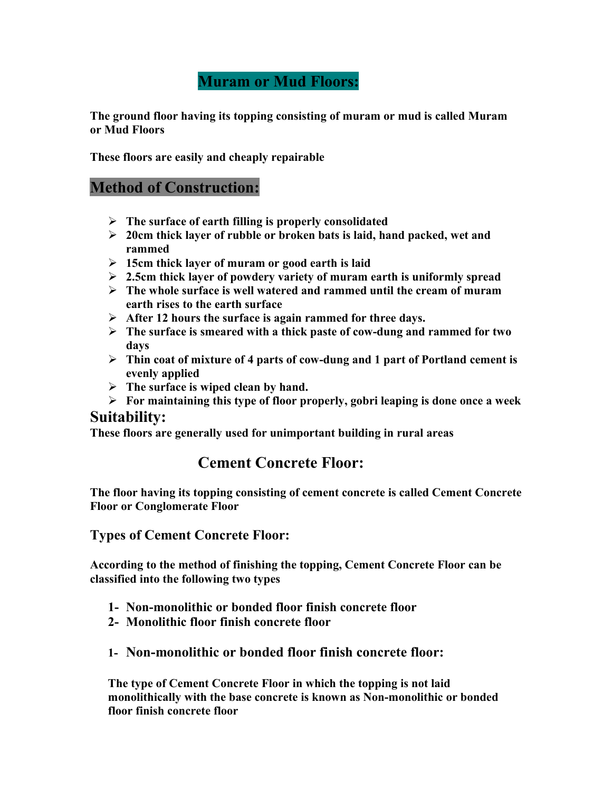# **Muram or Mud Floors:**

**The ground floor having its topping consisting of muram or mud is called Muram or Mud Floors**

**These floors are easily and cheaply repairable**

## **Method of Construction:**

- **The surface of earth filling is properly consolidated**
- **20cm thick layer of rubble or broken bats is laid, hand packed, wet and rammed**
- **15cm thick layer of muram or good earth is laid**
- **2.5cm thick layer of powdery variety of muram earth is uniformly spread**
- **The whole surface is well watered and rammed until the cream of muram earth rises to the earth surface**
- **After 12 hours the surface is again rammed for three days.**
- **The surface is smeared with a thick paste of cow-dung and rammed for two days**
- **Thin coat of mixture of 4 parts of cow-dung and 1 part of Portland cement is evenly applied**
- **The surface is wiped clean by hand.**
- **For maintaining this type of floor properly, gobri leaping is done once a week**

#### **Suitability:**

**These floors are generally used for unimportant building in rural areas**

## **Cement Concrete Floor:**

**The floor having its topping consisting of cement concrete is called Cement Concrete Floor or Conglomerate Floor**

**Types of Cement Concrete Floor:**

**According to the method of finishing the topping, Cement Concrete Floor can be classified into the following two types**

- **1- Non-monolithic or bonded floor finish concrete floor**
- **2- Monolithic floor finish concrete floor**
- **1- Non-monolithic or bonded floor finish concrete floor:**

**The type of Cement Concrete Floor in which the topping is not laid monolithically with the base concrete is known as Non-monolithic or bonded floor finish concrete floor**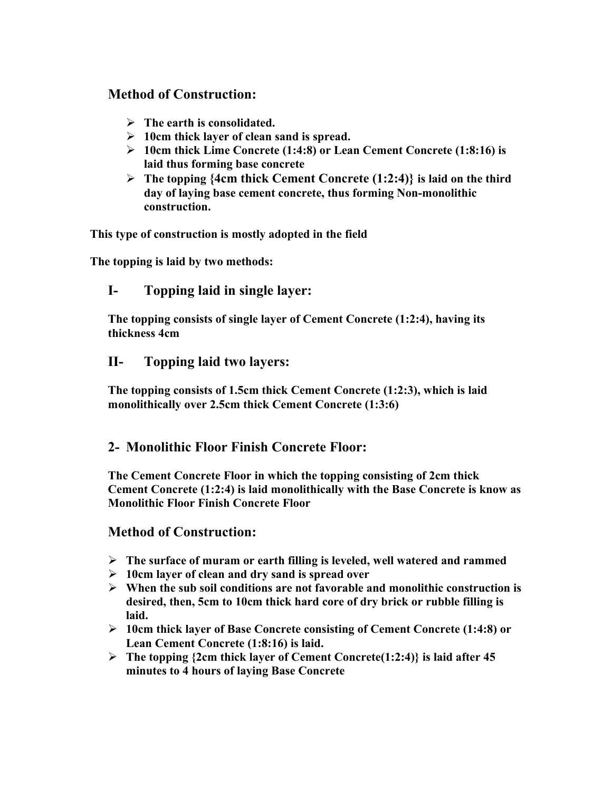### **Method of Construction:**

- **The earth is consolidated.**
- **10cm thick layer of clean sand is spread.**
- **10cm thick Lime Concrete (1:4:8) or Lean Cement Concrete (1:8:16) is laid thus forming base concrete**
- **The topping {4cm thick Cement Concrete (1:2:4)} is laid on the third day of laying base cement concrete, thus forming Non-monolithic construction.**

**This type of construction is mostly adopted in the field**

**The topping is laid by two methods:**

## **I- Topping laid in single layer:**

**The topping consists of single layer of Cement Concrete (1:2:4), having its thickness 4cm**

#### **II- Topping laid two layers:**

**The topping consists of 1.5cm thick Cement Concrete (1:2:3), which is laid monolithically over 2.5cm thick Cement Concrete (1:3:6)**

#### **2- Monolithic Floor Finish Concrete Floor:**

**The Cement Concrete Floor in which the topping consisting of 2cm thick Cement Concrete (1:2:4) is laid monolithically with the Base Concrete is know as Monolithic Floor Finish Concrete Floor**

#### **Method of Construction:**

- **The surface of muram or earth filling is leveled, well watered and rammed**
- **10cm layer of clean and dry sand is spread over**
- **When the sub soil conditions are not favorable and monolithic construction is desired, then, 5cm to 10cm thick hard core of dry brick or rubble filling is laid.**
- **10cm thick layer of Base Concrete consisting of Cement Concrete (1:4:8) or Lean Cement Concrete (1:8:16) is laid.**
- **The topping {2cm thick layer of Cement Concrete(1:2:4)} is laid after 45 minutes to 4 hours of laying Base Concrete**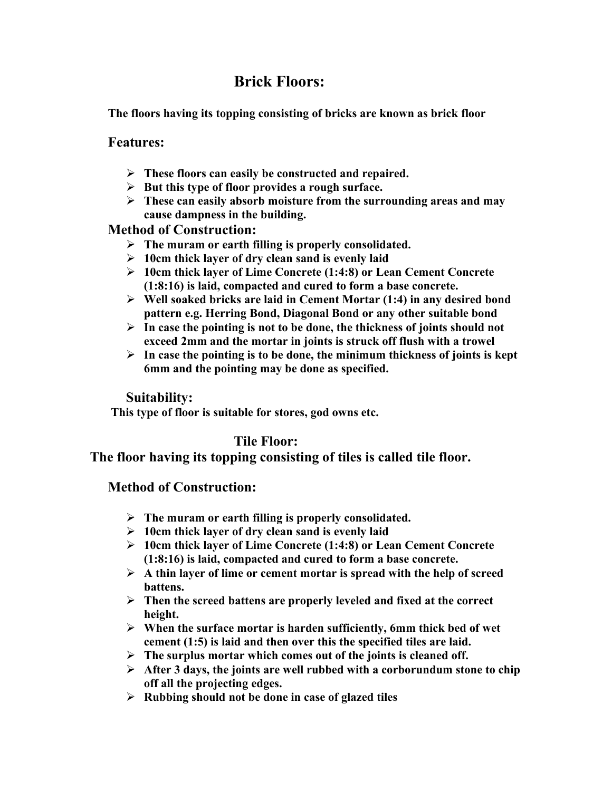# **Brick Floors:**

**The floors having its topping consisting of bricks are known as brick floor**

#### **Features:**

- **These floors can easily be constructed and repaired.**
- **But this type of floor provides a rough surface.**
- **These can easily absorb moisture from the surrounding areas and may cause dampness in the building.**

#### **Method of Construction:**

- **The muram or earth filling is properly consolidated.**
- **10cm thick layer of dry clean sand is evenly laid**
- **10cm thick layer of Lime Concrete (1:4:8) or Lean Cement Concrete (1:8:16) is laid, compacted and cured to form a base concrete.**
- **Well soaked bricks are laid in Cement Mortar (1:4) in any desired bond pattern e.g. Herring Bond, Diagonal Bond or any other suitable bond**
- **In case the pointing is not to be done, the thickness of joints should not exceed 2mm and the mortar in joints is struck off flush with a trowel**
- $\triangleright$  In case the pointing is to be done, the minimum thickness of joints is kept **6mm and the pointing may be done as specified.**

#### **Suitability:**

**This type of floor is suitable for stores, god owns etc.**

## **Tile Floor:**

#### **The floor having its topping consisting of tiles is called tile floor.**

#### **Method of Construction:**

- **The muram or earth filling is properly consolidated.**
- **10cm thick layer of dry clean sand is evenly laid**
- **10cm thick layer of Lime Concrete (1:4:8) or Lean Cement Concrete (1:8:16) is laid, compacted and cured to form a base concrete.**
- $\triangleright$  A thin layer of lime or cement mortar is spread with the help of screed **battens.**
- **Then the screed battens are properly leveled and fixed at the correct height.**
- **When the surface mortar is harden sufficiently, 6mm thick bed of wet cement (1:5) is laid and then over this the specified tiles are laid.**
- **The surplus mortar which comes out of the joints is cleaned off.**
- **After 3 days, the joints are well rubbed with a corborundum stone to chip off all the projecting edges.**
- **Rubbing should not be done in case of glazed tiles**